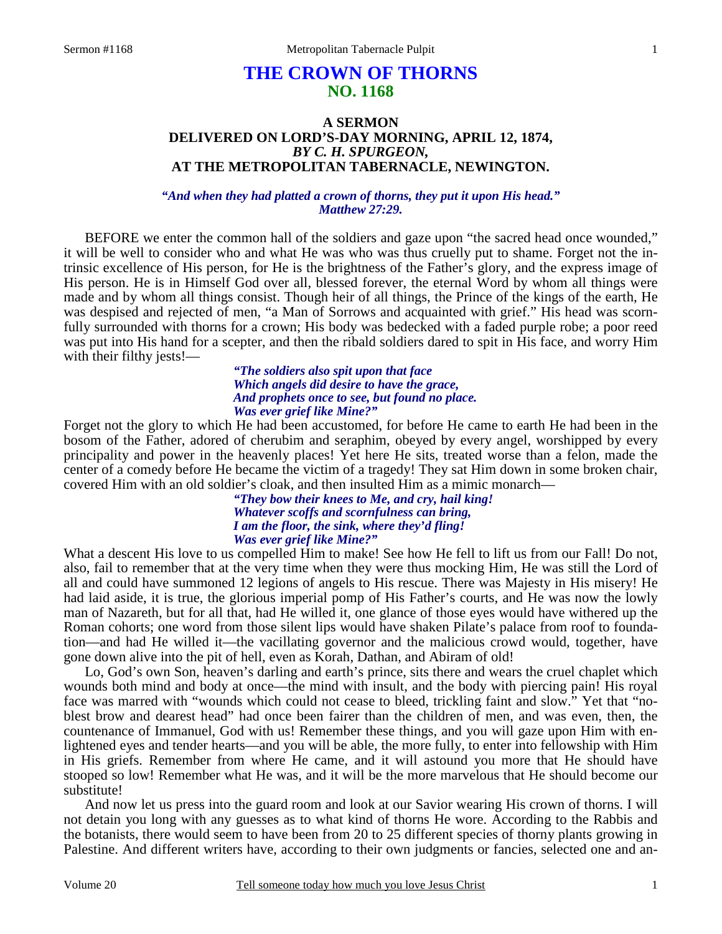# **THE CROWN OF THORNS NO. 1168**

# **A SERMON DELIVERED ON LORD'S-DAY MORNING, APRIL 12, 1874,**  *BY C. H. SPURGEON,*  **AT THE METROPOLITAN TABERNACLE, NEWINGTON.**

*"And when they had platted a crown of thorns, they put it upon His head." Matthew 27:29.* 

BEFORE we enter the common hall of the soldiers and gaze upon "the sacred head once wounded," it will be well to consider who and what He was who was thus cruelly put to shame. Forget not the intrinsic excellence of His person, for He is the brightness of the Father's glory, and the express image of His person. He is in Himself God over all, blessed forever, the eternal Word by whom all things were made and by whom all things consist. Though heir of all things, the Prince of the kings of the earth, He was despised and rejected of men, "a Man of Sorrows and acquainted with grief." His head was scornfully surrounded with thorns for a crown; His body was bedecked with a faded purple robe; a poor reed was put into His hand for a scepter, and then the ribald soldiers dared to spit in His face, and worry Him with their filthy jests!—

> *"The soldiers also spit upon that face Which angels did desire to have the grace, And prophets once to see, but found no place. Was ever grief like Mine?"*

Forget not the glory to which He had been accustomed, for before He came to earth He had been in the bosom of the Father, adored of cherubim and seraphim, obeyed by every angel, worshipped by every principality and power in the heavenly places! Yet here He sits, treated worse than a felon, made the center of a comedy before He became the victim of a tragedy! They sat Him down in some broken chair, covered Him with an old soldier's cloak, and then insulted Him as a mimic monarch—

> *"They bow their knees to Me, and cry, hail king! Whatever scoffs and scornfulness can bring, I am the floor, the sink, where they'd fling! Was ever grief like Mine?"*

What a descent His love to us compelled Him to make! See how He fell to lift us from our Fall! Do not, also, fail to remember that at the very time when they were thus mocking Him, He was still the Lord of all and could have summoned 12 legions of angels to His rescue. There was Majesty in His misery! He had laid aside, it is true, the glorious imperial pomp of His Father's courts, and He was now the lowly man of Nazareth, but for all that, had He willed it, one glance of those eyes would have withered up the Roman cohorts; one word from those silent lips would have shaken Pilate's palace from roof to foundation—and had He willed it—the vacillating governor and the malicious crowd would, together, have gone down alive into the pit of hell, even as Korah, Dathan, and Abiram of old!

Lo, God's own Son, heaven's darling and earth's prince, sits there and wears the cruel chaplet which wounds both mind and body at once—the mind with insult, and the body with piercing pain! His royal face was marred with "wounds which could not cease to bleed, trickling faint and slow." Yet that "noblest brow and dearest head" had once been fairer than the children of men, and was even, then, the countenance of Immanuel, God with us! Remember these things, and you will gaze upon Him with enlightened eyes and tender hearts—and you will be able, the more fully, to enter into fellowship with Him in His griefs. Remember from where He came, and it will astound you more that He should have stooped so low! Remember what He was, and it will be the more marvelous that He should become our substitute!

And now let us press into the guard room and look at our Savior wearing His crown of thorns. I will not detain you long with any guesses as to what kind of thorns He wore. According to the Rabbis and the botanists, there would seem to have been from 20 to 25 different species of thorny plants growing in Palestine. And different writers have, according to their own judgments or fancies, selected one and an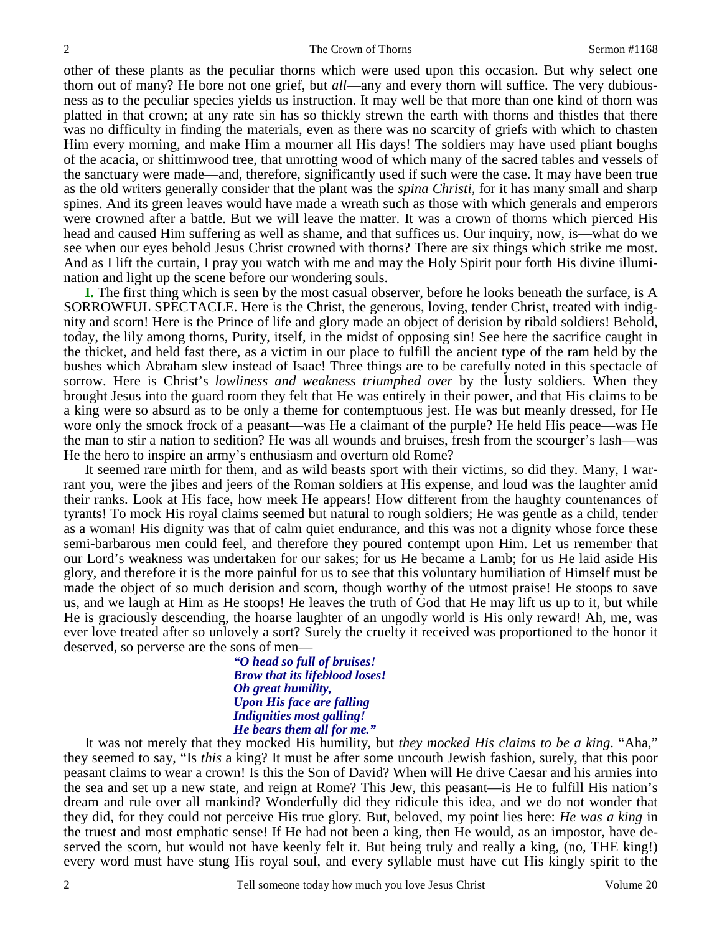other of these plants as the peculiar thorns which were used upon this occasion. But why select one thorn out of many? He bore not one grief, but *all*—any and every thorn will suffice. The very dubiousness as to the peculiar species yields us instruction. It may well be that more than one kind of thorn was platted in that crown; at any rate sin has so thickly strewn the earth with thorns and thistles that there was no difficulty in finding the materials, even as there was no scarcity of griefs with which to chasten Him every morning, and make Him a mourner all His days! The soldiers may have used pliant boughs of the acacia, or shittimwood tree, that unrotting wood of which many of the sacred tables and vessels of the sanctuary were made—and, therefore, significantly used if such were the case. It may have been true as the old writers generally consider that the plant was the *spina Christi,* for it has many small and sharp spines. And its green leaves would have made a wreath such as those with which generals and emperors were crowned after a battle. But we will leave the matter. It was a crown of thorns which pierced His head and caused Him suffering as well as shame, and that suffices us. Our inquiry, now, is—what do we see when our eyes behold Jesus Christ crowned with thorns? There are six things which strike me most. And as I lift the curtain, I pray you watch with me and may the Holy Spirit pour forth His divine illumination and light up the scene before our wondering souls.

**I.** The first thing which is seen by the most casual observer, before he looks beneath the surface, is A SORROWFUL SPECTACLE. Here is the Christ, the generous, loving, tender Christ, treated with indignity and scorn! Here is the Prince of life and glory made an object of derision by ribald soldiers! Behold, today, the lily among thorns, Purity, itself, in the midst of opposing sin! See here the sacrifice caught in the thicket, and held fast there, as a victim in our place to fulfill the ancient type of the ram held by the bushes which Abraham slew instead of Isaac! Three things are to be carefully noted in this spectacle of sorrow. Here is Christ's *lowliness and weakness triumphed over* by the lusty soldiers. When they brought Jesus into the guard room they felt that He was entirely in their power, and that His claims to be a king were so absurd as to be only a theme for contemptuous jest. He was but meanly dressed, for He wore only the smock frock of a peasant—was He a claimant of the purple? He held His peace—was He the man to stir a nation to sedition? He was all wounds and bruises, fresh from the scourger's lash—was He the hero to inspire an army's enthusiasm and overturn old Rome?

It seemed rare mirth for them, and as wild beasts sport with their victims, so did they. Many, I warrant you, were the jibes and jeers of the Roman soldiers at His expense, and loud was the laughter amid their ranks. Look at His face, how meek He appears! How different from the haughty countenances of tyrants! To mock His royal claims seemed but natural to rough soldiers; He was gentle as a child, tender as a woman! His dignity was that of calm quiet endurance, and this was not a dignity whose force these semi-barbarous men could feel, and therefore they poured contempt upon Him. Let us remember that our Lord's weakness was undertaken for our sakes; for us He became a Lamb; for us He laid aside His glory, and therefore it is the more painful for us to see that this voluntary humiliation of Himself must be made the object of so much derision and scorn, though worthy of the utmost praise! He stoops to save us, and we laugh at Him as He stoops! He leaves the truth of God that He may lift us up to it, but while He is graciously descending, the hoarse laughter of an ungodly world is His only reward! Ah, me, was ever love treated after so unlovely a sort? Surely the cruelty it received was proportioned to the honor it deserved, so perverse are the sons of men—

> *"O head so full of bruises! Brow that its lifeblood loses! Oh great humility, Upon His face are falling Indignities most galling! He bears them all for me."*

 It was not merely that they mocked His humility, but *they mocked His claims to be a king*. "Aha," they seemed to say, "Is *this* a king? It must be after some uncouth Jewish fashion, surely, that this poor peasant claims to wear a crown! Is this the Son of David? When will He drive Caesar and his armies into the sea and set up a new state, and reign at Rome? This Jew, this peasant—is He to fulfill His nation's dream and rule over all mankind? Wonderfully did they ridicule this idea, and we do not wonder that they did, for they could not perceive His true glory. But, beloved, my point lies here: *He was a king* in the truest and most emphatic sense! If He had not been a king, then He would, as an impostor, have deserved the scorn, but would not have keenly felt it. But being truly and really a king, (no, THE king!) every word must have stung His royal soul, and every syllable must have cut His kingly spirit to the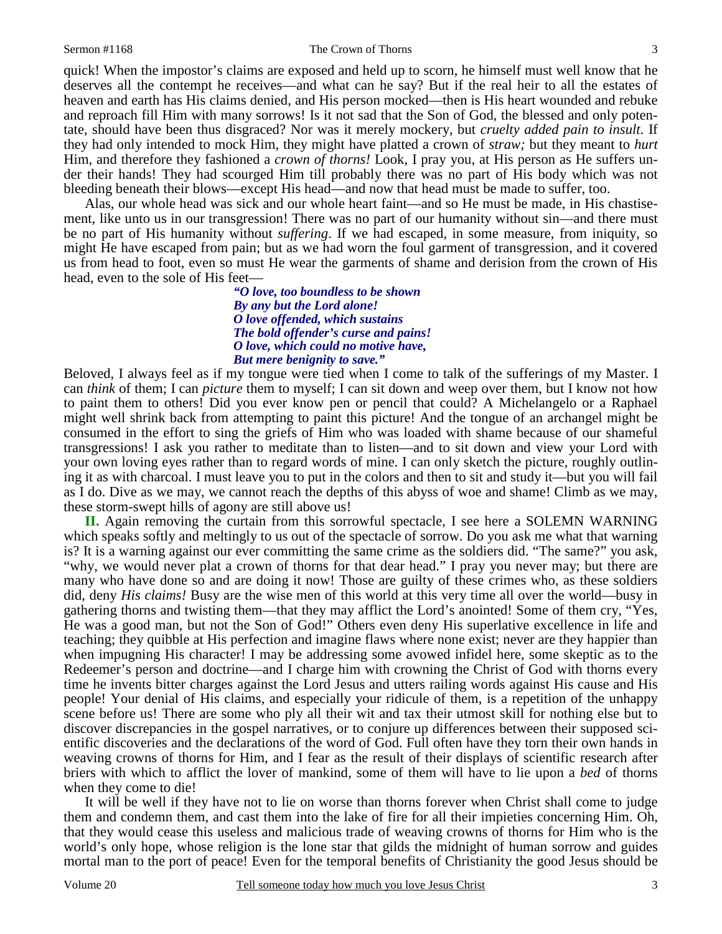#### Sermon #1168 The Crown of Thorns

quick! When the impostor's claims are exposed and held up to scorn, he himself must well know that he deserves all the contempt he receives—and what can he say? But if the real heir to all the estates of heaven and earth has His claims denied, and His person mocked—then is His heart wounded and rebuke and reproach fill Him with many sorrows! Is it not sad that the Son of God, the blessed and only potentate, should have been thus disgraced? Nor was it merely mockery, but *cruelty added pain to insult*. If they had only intended to mock Him, they might have platted a crown of *straw;* but they meant to *hurt* Him, and therefore they fashioned a *crown of thorns!* Look, I pray you, at His person as He suffers under their hands! They had scourged Him till probably there was no part of His body which was not bleeding beneath their blows—except His head—and now that head must be made to suffer, too.

Alas, our whole head was sick and our whole heart faint—and so He must be made, in His chastisement, like unto us in our transgression! There was no part of our humanity without sin—and there must be no part of His humanity without *suffering*. If we had escaped, in some measure, from iniquity, so might He have escaped from pain; but as we had worn the foul garment of transgression, and it covered us from head to foot, even so must He wear the garments of shame and derision from the crown of His head, even to the sole of His feet—

> *"O love, too boundless to be shown By any but the Lord alone! O love offended, which sustains The bold offender's curse and pains! O love, which could no motive have, But mere benignity to save."*

Beloved, I always feel as if my tongue were tied when I come to talk of the sufferings of my Master. I can *think* of them; I can *picture* them to myself; I can sit down and weep over them, but I know not how to paint them to others! Did you ever know pen or pencil that could? A Michelangelo or a Raphael might well shrink back from attempting to paint this picture! And the tongue of an archangel might be consumed in the effort to sing the griefs of Him who was loaded with shame because of our shameful transgressions! I ask you rather to meditate than to listen—and to sit down and view your Lord with your own loving eyes rather than to regard words of mine. I can only sketch the picture, roughly outlining it as with charcoal. I must leave you to put in the colors and then to sit and study it—but you will fail as I do. Dive as we may, we cannot reach the depths of this abyss of woe and shame! Climb as we may, these storm-swept hills of agony are still above us!

**II.** Again removing the curtain from this sorrowful spectacle, I see here a SOLEMN WARNING which speaks softly and meltingly to us out of the spectacle of sorrow. Do you ask me what that warning is? It is a warning against our ever committing the same crime as the soldiers did. "The same?" you ask, "why, we would never plat a crown of thorns for that dear head." I pray you never may; but there are many who have done so and are doing it now! Those are guilty of these crimes who, as these soldiers did, deny *His claims!* Busy are the wise men of this world at this very time all over the world—busy in gathering thorns and twisting them—that they may afflict the Lord's anointed! Some of them cry, "Yes, He was a good man, but not the Son of God!" Others even deny His superlative excellence in life and teaching; they quibble at His perfection and imagine flaws where none exist; never are they happier than when impugning His character! I may be addressing some avowed infidel here, some skeptic as to the Redeemer's person and doctrine—and I charge him with crowning the Christ of God with thorns every time he invents bitter charges against the Lord Jesus and utters railing words against His cause and His people! Your denial of His claims, and especially your ridicule of them, is a repetition of the unhappy scene before us! There are some who ply all their wit and tax their utmost skill for nothing else but to discover discrepancies in the gospel narratives, or to conjure up differences between their supposed scientific discoveries and the declarations of the word of God. Full often have they torn their own hands in weaving crowns of thorns for Him, and I fear as the result of their displays of scientific research after briers with which to afflict the lover of mankind, some of them will have to lie upon a *bed* of thorns when they come to die!

It will be well if they have not to lie on worse than thorns forever when Christ shall come to judge them and condemn them, and cast them into the lake of fire for all their impieties concerning Him. Oh, that they would cease this useless and malicious trade of weaving crowns of thorns for Him who is the world's only hope, whose religion is the lone star that gilds the midnight of human sorrow and guides mortal man to the port of peace! Even for the temporal benefits of Christianity the good Jesus should be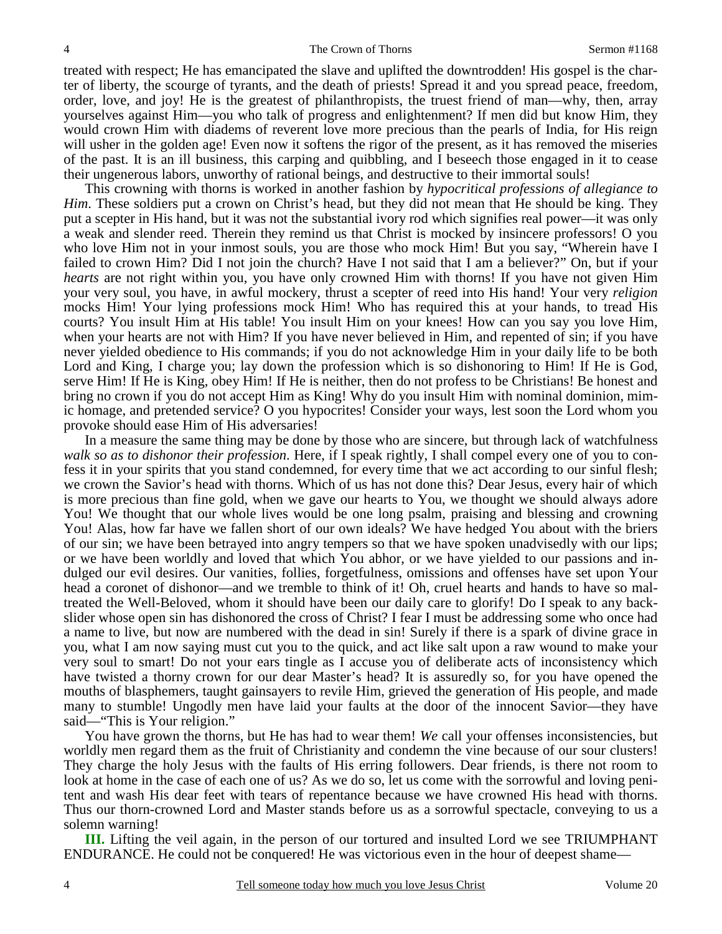treated with respect; He has emancipated the slave and uplifted the downtrodden! His gospel is the charter of liberty, the scourge of tyrants, and the death of priests! Spread it and you spread peace, freedom, order, love, and joy! He is the greatest of philanthropists, the truest friend of man—why, then, array yourselves against Him—you who talk of progress and enlightenment? If men did but know Him, they would crown Him with diadems of reverent love more precious than the pearls of India, for His reign will usher in the golden age! Even now it softens the rigor of the present, as it has removed the miseries of the past. It is an ill business, this carping and quibbling, and I beseech those engaged in it to cease their ungenerous labors, unworthy of rational beings, and destructive to their immortal souls!

This crowning with thorns is worked in another fashion by *hypocritical professions of allegiance to Him*. These soldiers put a crown on Christ's head, but they did not mean that He should be king. They put a scepter in His hand, but it was not the substantial ivory rod which signifies real power—it was only a weak and slender reed. Therein they remind us that Christ is mocked by insincere professors! O you who love Him not in your inmost souls, you are those who mock Him! But you say, "Wherein have I failed to crown Him? Did I not join the church? Have I not said that I am a believer?" On, but if your *hearts* are not right within you, you have only crowned Him with thorns! If you have not given Him your very soul, you have, in awful mockery, thrust a scepter of reed into His hand! Your very *religion* mocks Him! Your lying professions mock Him! Who has required this at your hands, to tread His courts? You insult Him at His table! You insult Him on your knees! How can you say you love Him, when your hearts are not with Him? If you have never believed in Him, and repented of sin; if you have never yielded obedience to His commands; if you do not acknowledge Him in your daily life to be both Lord and King, I charge you; lay down the profession which is so dishonoring to Him! If He is God, serve Him! If He is King, obey Him! If He is neither, then do not profess to be Christians! Be honest and bring no crown if you do not accept Him as King! Why do you insult Him with nominal dominion, mimic homage, and pretended service? O you hypocrites! Consider your ways, lest soon the Lord whom you provoke should ease Him of His adversaries!

In a measure the same thing may be done by those who are sincere, but through lack of watchfulness *walk so as to dishonor their profession*. Here, if I speak rightly, I shall compel every one of you to confess it in your spirits that you stand condemned, for every time that we act according to our sinful flesh; we crown the Savior's head with thorns. Which of us has not done this? Dear Jesus, every hair of which is more precious than fine gold, when we gave our hearts to You, we thought we should always adore You! We thought that our whole lives would be one long psalm, praising and blessing and crowning You! Alas, how far have we fallen short of our own ideals? We have hedged You about with the briers of our sin; we have been betrayed into angry tempers so that we have spoken unadvisedly with our lips; or we have been worldly and loved that which You abhor, or we have yielded to our passions and indulged our evil desires. Our vanities, follies, forgetfulness, omissions and offenses have set upon Your head a coronet of dishonor—and we tremble to think of it! Oh, cruel hearts and hands to have so maltreated the Well-Beloved, whom it should have been our daily care to glorify! Do I speak to any backslider whose open sin has dishonored the cross of Christ? I fear I must be addressing some who once had a name to live, but now are numbered with the dead in sin! Surely if there is a spark of divine grace in you, what I am now saying must cut you to the quick, and act like salt upon a raw wound to make your very soul to smart! Do not your ears tingle as I accuse you of deliberate acts of inconsistency which have twisted a thorny crown for our dear Master's head? It is assuredly so, for you have opened the mouths of blasphemers, taught gainsayers to revile Him, grieved the generation of His people, and made many to stumble! Ungodly men have laid your faults at the door of the innocent Savior—they have said—"This is Your religion."

You have grown the thorns, but He has had to wear them! *We* call your offenses inconsistencies, but worldly men regard them as the fruit of Christianity and condemn the vine because of our sour clusters! They charge the holy Jesus with the faults of His erring followers. Dear friends, is there not room to look at home in the case of each one of us? As we do so, let us come with the sorrowful and loving penitent and wash His dear feet with tears of repentance because we have crowned His head with thorns. Thus our thorn-crowned Lord and Master stands before us as a sorrowful spectacle, conveying to us a solemn warning!

**III.** Lifting the veil again, in the person of our tortured and insulted Lord we see TRIUMPHANT ENDURANCE. He could not be conquered! He was victorious even in the hour of deepest shame—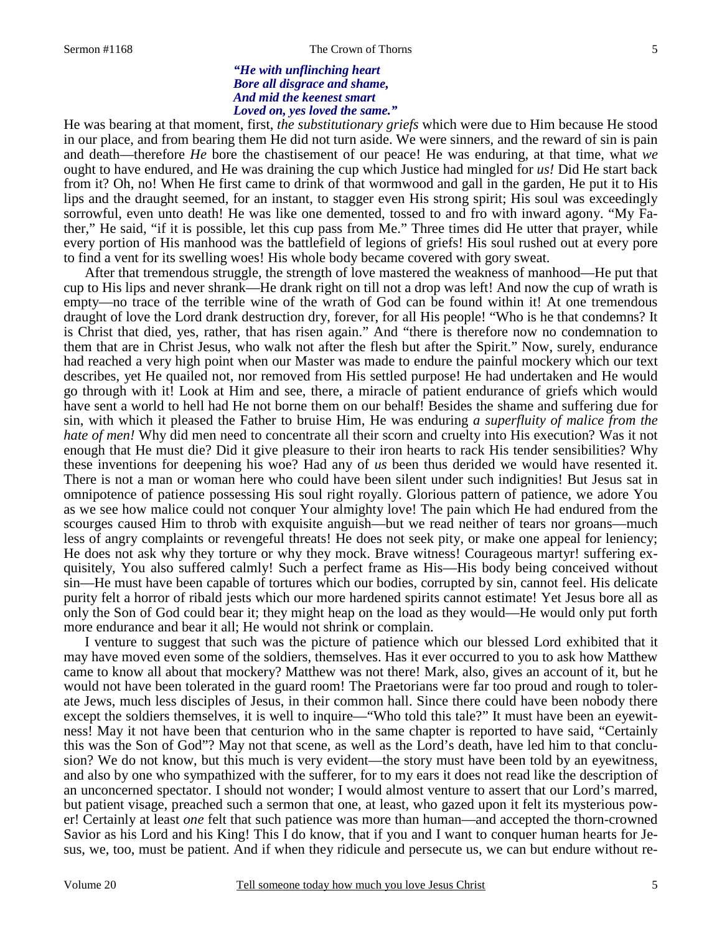### *"He with unflinching heart Bore all disgrace and shame, And mid the keenest smart Loved on, yes loved the same."*

He was bearing at that moment, first, *the substitutionary griefs* which were due to Him because He stood in our place, and from bearing them He did not turn aside. We were sinners, and the reward of sin is pain and death—therefore *He* bore the chastisement of our peace! He was enduring, at that time, what *we* ought to have endured, and He was draining the cup which Justice had mingled for *us!* Did He start back from it? Oh, no! When He first came to drink of that wormwood and gall in the garden, He put it to His lips and the draught seemed, for an instant, to stagger even His strong spirit; His soul was exceedingly sorrowful, even unto death! He was like one demented, tossed to and fro with inward agony. "My Father," He said, "if it is possible, let this cup pass from Me." Three times did He utter that prayer, while every portion of His manhood was the battlefield of legions of griefs! His soul rushed out at every pore to find a vent for its swelling woes! His whole body became covered with gory sweat.

After that tremendous struggle, the strength of love mastered the weakness of manhood—He put that cup to His lips and never shrank—He drank right on till not a drop was left! And now the cup of wrath is empty—no trace of the terrible wine of the wrath of God can be found within it! At one tremendous draught of love the Lord drank destruction dry, forever, for all His people! "Who is he that condemns? It is Christ that died, yes, rather, that has risen again." And "there is therefore now no condemnation to them that are in Christ Jesus, who walk not after the flesh but after the Spirit." Now, surely, endurance had reached a very high point when our Master was made to endure the painful mockery which our text describes, yet He quailed not, nor removed from His settled purpose! He had undertaken and He would go through with it! Look at Him and see, there, a miracle of patient endurance of griefs which would have sent a world to hell had He not borne them on our behalf! Besides the shame and suffering due for sin, with which it pleased the Father to bruise Him, He was enduring *a superfluity of malice from the hate of men!* Why did men need to concentrate all their scorn and cruelty into His execution? Was it not enough that He must die? Did it give pleasure to their iron hearts to rack His tender sensibilities? Why these inventions for deepening his woe? Had any of *us* been thus derided we would have resented it. There is not a man or woman here who could have been silent under such indignities! But Jesus sat in omnipotence of patience possessing His soul right royally. Glorious pattern of patience, we adore You as we see how malice could not conquer Your almighty love! The pain which He had endured from the scourges caused Him to throb with exquisite anguish—but we read neither of tears nor groans—much less of angry complaints or revengeful threats! He does not seek pity, or make one appeal for leniency; He does not ask why they torture or why they mock. Brave witness! Courageous martyr! suffering exquisitely, You also suffered calmly! Such a perfect frame as His—His body being conceived without sin—He must have been capable of tortures which our bodies, corrupted by sin, cannot feel. His delicate purity felt a horror of ribald jests which our more hardened spirits cannot estimate! Yet Jesus bore all as only the Son of God could bear it; they might heap on the load as they would—He would only put forth more endurance and bear it all; He would not shrink or complain.

I venture to suggest that such was the picture of patience which our blessed Lord exhibited that it may have moved even some of the soldiers, themselves. Has it ever occurred to you to ask how Matthew came to know all about that mockery? Matthew was not there! Mark, also, gives an account of it, but he would not have been tolerated in the guard room! The Praetorians were far too proud and rough to tolerate Jews, much less disciples of Jesus, in their common hall. Since there could have been nobody there except the soldiers themselves, it is well to inquire—"Who told this tale?" It must have been an eyewitness! May it not have been that centurion who in the same chapter is reported to have said, "Certainly this was the Son of God"? May not that scene, as well as the Lord's death, have led him to that conclusion? We do not know, but this much is very evident—the story must have been told by an eyewitness, and also by one who sympathized with the sufferer, for to my ears it does not read like the description of an unconcerned spectator. I should not wonder; I would almost venture to assert that our Lord's marred, but patient visage, preached such a sermon that one, at least, who gazed upon it felt its mysterious power! Certainly at least *one* felt that such patience was more than human—and accepted the thorn-crowned Savior as his Lord and his King! This I do know, that if you and I want to conquer human hearts for Jesus, we, too, must be patient. And if when they ridicule and persecute us, we can but endure without re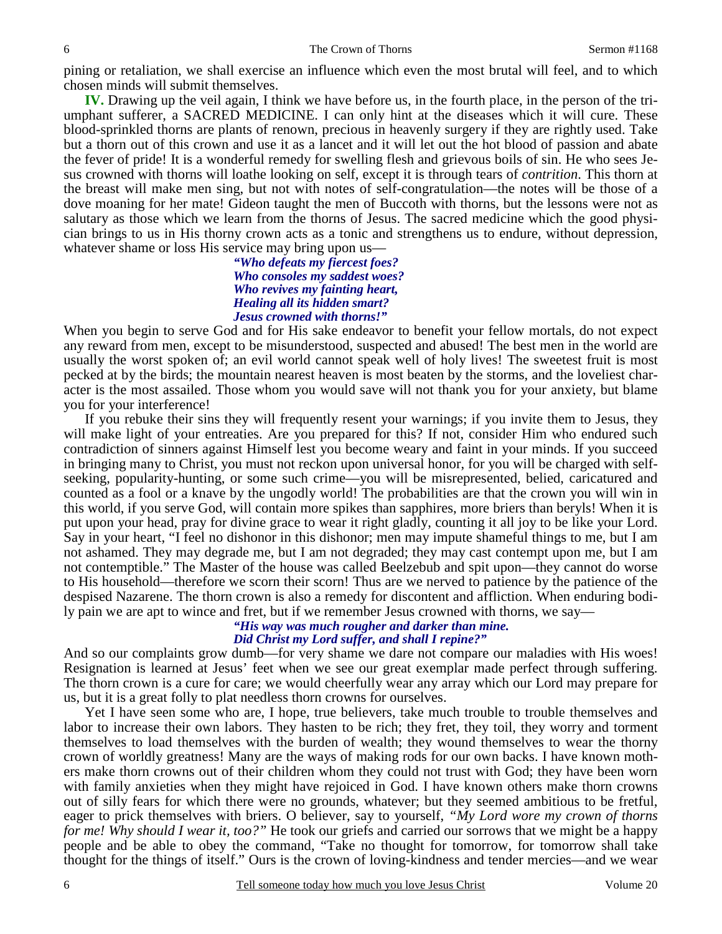pining or retaliation, we shall exercise an influence which even the most brutal will feel, and to which chosen minds will submit themselves.

**IV.** Drawing up the veil again, I think we have before us, in the fourth place, in the person of the triumphant sufferer, a SACRED MEDICINE. I can only hint at the diseases which it will cure. These blood-sprinkled thorns are plants of renown, precious in heavenly surgery if they are rightly used. Take but a thorn out of this crown and use it as a lancet and it will let out the hot blood of passion and abate the fever of pride! It is a wonderful remedy for swelling flesh and grievous boils of sin. He who sees Jesus crowned with thorns will loathe looking on self, except it is through tears of *contrition*. This thorn at the breast will make men sing, but not with notes of self-congratulation—the notes will be those of a dove moaning for her mate! Gideon taught the men of Buccoth with thorns, but the lessons were not as salutary as those which we learn from the thorns of Jesus. The sacred medicine which the good physician brings to us in His thorny crown acts as a tonic and strengthens us to endure, without depression, whatever shame or loss His service may bring upon us—

## *"Who defeats my fiercest foes? Who consoles my saddest woes? Who revives my fainting heart, Healing all its hidden smart? Jesus crowned with thorns!"*

When you begin to serve God and for His sake endeavor to benefit your fellow mortals, do not expect any reward from men, except to be misunderstood, suspected and abused! The best men in the world are usually the worst spoken of; an evil world cannot speak well of holy lives! The sweetest fruit is most pecked at by the birds; the mountain nearest heaven is most beaten by the storms, and the loveliest character is the most assailed. Those whom you would save will not thank you for your anxiety, but blame you for your interference!

If you rebuke their sins they will frequently resent your warnings; if you invite them to Jesus, they will make light of your entreaties. Are you prepared for this? If not, consider Him who endured such contradiction of sinners against Himself lest you become weary and faint in your minds. If you succeed in bringing many to Christ, you must not reckon upon universal honor, for you will be charged with selfseeking, popularity-hunting, or some such crime—you will be misrepresented, belied, caricatured and counted as a fool or a knave by the ungodly world! The probabilities are that the crown you will win in this world, if you serve God, will contain more spikes than sapphires, more briers than beryls! When it is put upon your head, pray for divine grace to wear it right gladly, counting it all joy to be like your Lord. Say in your heart, "I feel no dishonor in this dishonor; men may impute shameful things to me, but I am not ashamed. They may degrade me, but I am not degraded; they may cast contempt upon me, but I am not contemptible." The Master of the house was called Beelzebub and spit upon—they cannot do worse to His household—therefore we scorn their scorn! Thus are we nerved to patience by the patience of the despised Nazarene. The thorn crown is also a remedy for discontent and affliction. When enduring bodily pain we are apt to wince and fret, but if we remember Jesus crowned with thorns, we say—

#### *"His way was much rougher and darker than mine. Did Christ my Lord suffer, and shall I repine?"*

And so our complaints grow dumb—for very shame we dare not compare our maladies with His woes! Resignation is learned at Jesus' feet when we see our great exemplar made perfect through suffering. The thorn crown is a cure for care; we would cheerfully wear any array which our Lord may prepare for us, but it is a great folly to plat needless thorn crowns for ourselves.

 Yet I have seen some who are, I hope, true believers, take much trouble to trouble themselves and labor to increase their own labors. They hasten to be rich; they fret, they toil, they worry and torment themselves to load themselves with the burden of wealth; they wound themselves to wear the thorny crown of worldly greatness! Many are the ways of making rods for our own backs. I have known mothers make thorn crowns out of their children whom they could not trust with God; they have been worn with family anxieties when they might have rejoiced in God. I have known others make thorn crowns out of silly fears for which there were no grounds, whatever; but they seemed ambitious to be fretful, eager to prick themselves with briers. O believer, say to yourself, *"My Lord wore my crown of thorns for me! Why should I wear it, too?*" He took our griefs and carried our sorrows that we might be a happy people and be able to obey the command, "Take no thought for tomorrow, for tomorrow shall take thought for the things of itself." Ours is the crown of loving-kindness and tender mercies—and we wear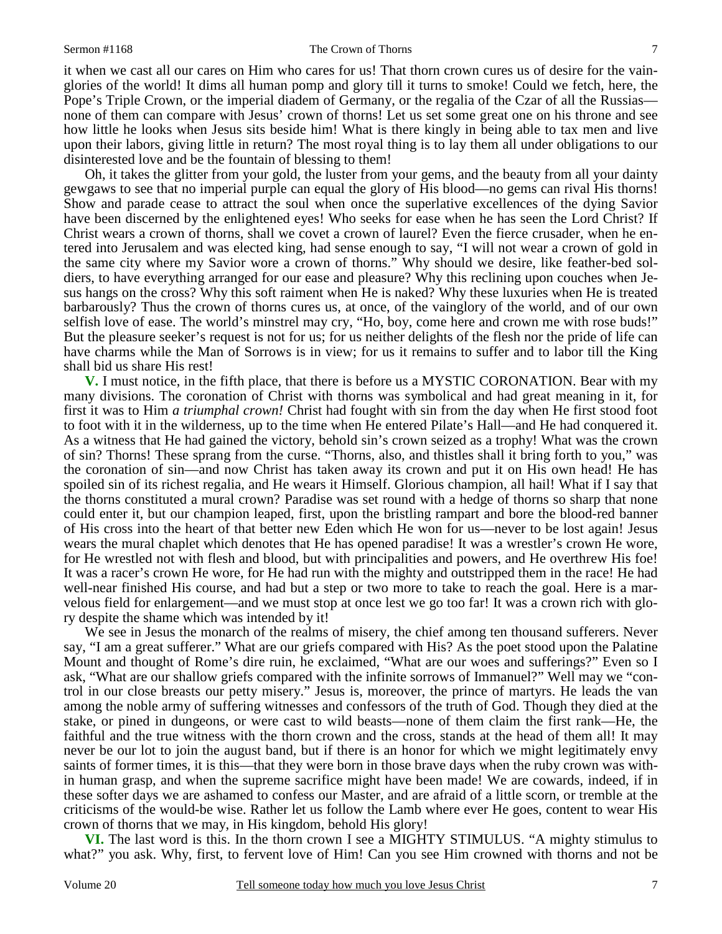#### Sermon #1168 The Crown of Thorns

it when we cast all our cares on Him who cares for us! That thorn crown cures us of desire for the vainglories of the world! It dims all human pomp and glory till it turns to smoke! Could we fetch, here, the Pope's Triple Crown, or the imperial diadem of Germany, or the regalia of the Czar of all the Russias none of them can compare with Jesus' crown of thorns! Let us set some great one on his throne and see how little he looks when Jesus sits beside him! What is there kingly in being able to tax men and live upon their labors, giving little in return? The most royal thing is to lay them all under obligations to our disinterested love and be the fountain of blessing to them!

Oh, it takes the glitter from your gold, the luster from your gems, and the beauty from all your dainty gewgaws to see that no imperial purple can equal the glory of His blood—no gems can rival His thorns! Show and parade cease to attract the soul when once the superlative excellences of the dying Savior have been discerned by the enlightened eyes! Who seeks for ease when he has seen the Lord Christ? If Christ wears a crown of thorns, shall we covet a crown of laurel? Even the fierce crusader, when he entered into Jerusalem and was elected king, had sense enough to say, "I will not wear a crown of gold in the same city where my Savior wore a crown of thorns." Why should we desire, like feather-bed soldiers, to have everything arranged for our ease and pleasure? Why this reclining upon couches when Jesus hangs on the cross? Why this soft raiment when He is naked? Why these luxuries when He is treated barbarously? Thus the crown of thorns cures us, at once, of the vainglory of the world, and of our own selfish love of ease. The world's minstrel may cry, "Ho, boy, come here and crown me with rose buds!" But the pleasure seeker's request is not for us; for us neither delights of the flesh nor the pride of life can have charms while the Man of Sorrows is in view; for us it remains to suffer and to labor till the King shall bid us share His rest!

**V.** I must notice, in the fifth place, that there is before us a MYSTIC CORONATION. Bear with my many divisions. The coronation of Christ with thorns was symbolical and had great meaning in it, for first it was to Him *a triumphal crown!* Christ had fought with sin from the day when He first stood foot to foot with it in the wilderness, up to the time when He entered Pilate's Hall—and He had conquered it. As a witness that He had gained the victory, behold sin's crown seized as a trophy! What was the crown of sin? Thorns! These sprang from the curse. "Thorns, also, and thistles shall it bring forth to you," was the coronation of sin—and now Christ has taken away its crown and put it on His own head! He has spoiled sin of its richest regalia, and He wears it Himself. Glorious champion, all hail! What if I say that the thorns constituted a mural crown? Paradise was set round with a hedge of thorns so sharp that none could enter it, but our champion leaped, first, upon the bristling rampart and bore the blood-red banner of His cross into the heart of that better new Eden which He won for us—never to be lost again! Jesus wears the mural chaplet which denotes that He has opened paradise! It was a wrestler's crown He wore, for He wrestled not with flesh and blood, but with principalities and powers, and He overthrew His foe! It was a racer's crown He wore, for He had run with the mighty and outstripped them in the race! He had well-near finished His course, and had but a step or two more to take to reach the goal. Here is a marvelous field for enlargement—and we must stop at once lest we go too far! It was a crown rich with glory despite the shame which was intended by it!

We see in Jesus the monarch of the realms of misery, the chief among ten thousand sufferers. Never say, "I am a great sufferer." What are our griefs compared with His? As the poet stood upon the Palatine Mount and thought of Rome's dire ruin, he exclaimed, "What are our woes and sufferings?" Even so I ask, "What are our shallow griefs compared with the infinite sorrows of Immanuel?" Well may we "control in our close breasts our petty misery." Jesus is, moreover, the prince of martyrs. He leads the van among the noble army of suffering witnesses and confessors of the truth of God. Though they died at the stake, or pined in dungeons, or were cast to wild beasts—none of them claim the first rank—He, the faithful and the true witness with the thorn crown and the cross, stands at the head of them all! It may never be our lot to join the august band, but if there is an honor for which we might legitimately envy saints of former times, it is this—that they were born in those brave days when the ruby crown was within human grasp, and when the supreme sacrifice might have been made! We are cowards, indeed, if in these softer days we are ashamed to confess our Master, and are afraid of a little scorn, or tremble at the criticisms of the would-be wise. Rather let us follow the Lamb where ever He goes, content to wear His crown of thorns that we may, in His kingdom, behold His glory!

**VI.** The last word is this. In the thorn crown I see a MIGHTY STIMULUS. "A mighty stimulus to what?" you ask. Why, first, to fervent love of Him! Can you see Him crowned with thorns and not be